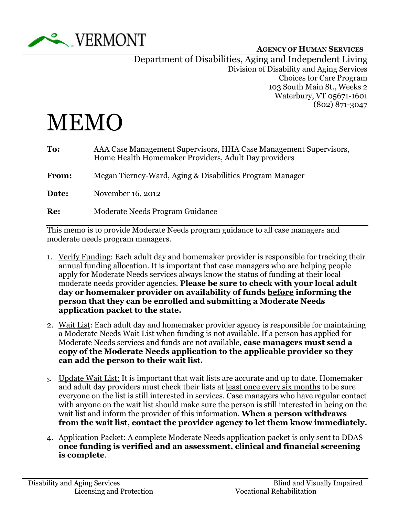

Department of Disabilities, Aging and Independent Living Division of Disability and Aging Services Choices for Care Program 103 South Main St., Weeks 2 Waterbury, VT 05671-1601 (802) 871-3047

## MEMO

| To:          | AAA Case Management Supervisors, HHA Case Management Supervisors,<br>Home Health Homemaker Providers, Adult Day providers |
|--------------|---------------------------------------------------------------------------------------------------------------------------|
| <b>From:</b> | Megan Tierney-Ward, Aging & Disabilities Program Manager                                                                  |
| Date:        | November 16, 2012                                                                                                         |
| Re:          | Moderate Needs Program Guidance                                                                                           |
|              |                                                                                                                           |

This memo is to provide Moderate Needs program guidance to all case managers and moderate needs program managers.

- 1. Verify Funding: Each adult day and homemaker provider is responsible for tracking their annual funding allocation. It is important that case managers who are helping people apply for Moderate Needs services always know the status of funding at their local moderate needs provider agencies. Please be sure to check with your local adult day or homemaker provider on availability of funds before informing the person that they can be enrolled and submitting a Moderate Needs application packet to the state.
- 2. Wait List: Each adult day and homemaker provider agency is responsible for maintaining a Moderate Needs Wait List when funding is not available. If a person has applied for Moderate Needs services and funds are not available, **case managers must send a** copy of the Moderate Needs application to the applicable provider so they can add the person to their wait list.
- 3. Update Wait List: It is important that wait lists are accurate and up to date. Homemaker and adult day providers must check their lists at least once every six months to be sure everyone on the list is still interested in services. Case managers who have regular contact with anyone on the wait list should make sure the person is still interested in being on the wait list and inform the provider of this information. When a person withdraws from the wait list, contact the provider agency to let them know immediately.
- 4. Application Packet: A complete Moderate Needs application packet is only sent to DDAS once funding is verified and an assessment, clinical and financial screening is complete.